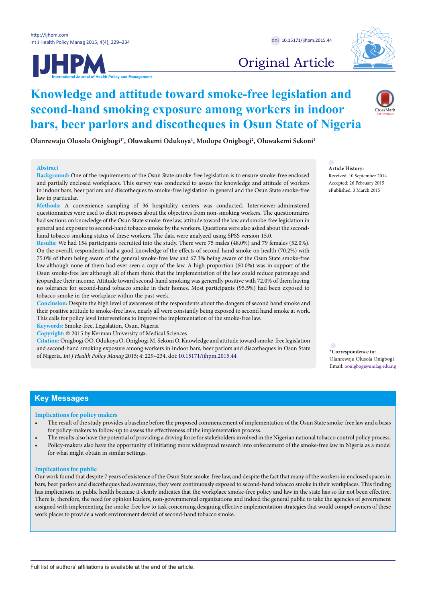



# Original Article

## **Knowledge and attitude toward smoke-free legislation and second-hand smoking exposure among workers in indoor bars, beer parlors and discotheques in Osun State of Nigeria**

**Olanrewaju Olusola Onigbog[i1](#page-4-0)[\\*](#page-0-0) , Oluwakemi Odukoya[1](#page-4-0) , Modupe Onigbogi[2](#page-4-1) , Oluwakemi Sekon[i1](#page-4-0)**

#### **Abstract**

**Background:** One of the requirements of the Osun State smoke-free legislation is to ensure smoke-free enclosed and partially enclosed workplaces. This survey was conducted to assess the knowledge and attitude of workers in indoor bars, beer parlors and discotheques to smoke-free legislation in general and the Osun State smoke-free law in particular.

**Methods:** A convenience sampling of 36 hospitality centers was conducted. Interviewer-administered questionnaires were used to elicit responses about the objectives from non-smoking workers. The questionnaires had sections on knowledge of the Osun State smoke-free law, attitude toward the law and smoke-free legislation in general and exposure to second-hand tobacco smoke by the workers. Questions were also asked about the secondhand tobacco smoking status of these workers. The data were analyzed using SPSS version 15.0.

**Results:** We had 154 participants recruited into the study. There were 75 males (48.0%) and 79 females (52.0%). On the overall, respondents had a good knowledge of the effects of second-hand smoke on health (70.2%) with 75.0% of them being aware of the general smoke-free law and 67.3% being aware of the Osun State smoke-free law although none of them had ever seen a copy of the law. A high proportion (60.0%) was in support of the Osun smoke-free law although all of them think that the implementation of the law could reduce patronage and jeopardize their income. Attitude toward second-hand smoking was generally positive with 72.0% of them having no tolerance for second-hand tobacco smoke in their homes. Most participants (95.5%) had been exposed to tobacco smoke in the workplace within the past week.

**Conclusion:** Despite the high level of awareness of the respondents about the dangers of second hand smoke and their positive attitude to smoke-free laws, nearly all were constantly being exposed to second hand smoke at work. This calls for policy level interventions to improve the implementation of the smoke-free law.

**Keywords:** Smoke-free, Legislation, Osun, Nigeria

**Copyright:** © 2015 by Kerman University of Medical Sciences

**Citation:** Onigbogi OO, Odukoya O, Onigbogi M, Sekoni O. Knowledge and attitude toward smoke-free legislation and second-hand smoking exposure among workers in indoor bars, beer parlors and discotheques in Osun State of Nigeria. *Int J Health Policy Manag* 2015; 4: 229–234. doi: [10.15171/ijhpm.2015.44](http://dx.doi.org/10.15171/ijhpm.2015.44) **\*Correspondence to:**

**Article History:**

Received: 10 September 2014 Accepted: 26 February 2015 ePublished: 3 March 2015

<span id="page-0-0"></span>Olanrewaju Olusola Onigbogi Email: oonigbogi@unilag.edu.ng

## **Key Messages**

## **Implications for policy makers**

- The result of the study provides a baseline before the proposed commencement of implementation of the Osun State smoke-free law and a basis for policy-makers to follow-up to assess the effectiveness of the implementation process.
- The results also have the potential of providing a driving force for stakeholders involved in the Nigerian national tobacco control policy process.
- Policy-makers also have the opportunity of initiating more widespread research into enforcement of the smoke-free law in Nigeria as a model for what might obtain in similar settings.

## **Implications for public**

Our work found that despite 7 years of existence of the Osun State smoke-free law, and despite the fact that many of the workers in enclosed spaces in bars, beer parlors and discotheques had awareness, they were continuously exposed to second-hand tobacco smoke in their workplaces. This finding has implications in public health because it clearly indicates that the workplace smoke-free policy and law in the state has so far not been effective. There is, therefore, the need for opinion leaders, non-governmental organizations and indeed the general public to take the agencies of government assigned with implementing the smoke-free law to task concerning designing effective implementation strategies that would compel owners of these work places to provide a work environment devoid of second-hand tobacco smoke.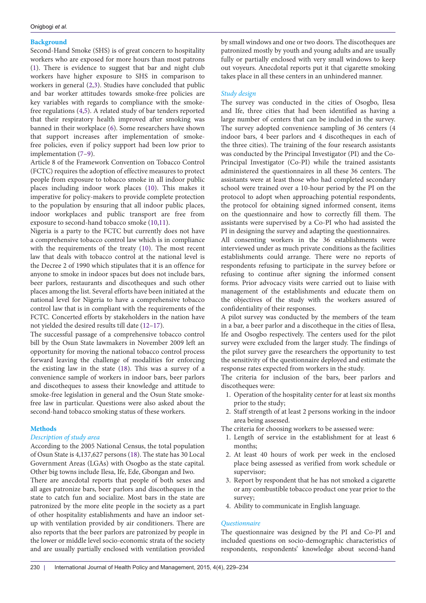## **Background**

Second-Hand Smoke (SHS) is of great concern to hospitality workers who are exposed for more hours than most patrons ([1\)](#page-4-2). There is evidence to suggest that bar and night club workers have higher exposure to SHS in comparison to workers in general [\(2](#page-4-3)[,3](#page-4-4)). Studies have concluded that public and bar worker attitudes towards smoke-free policies are key variables with regards to compliance with the smokefree regulations [\(4](#page-4-5),[5](#page-4-6)). A related study of bar tenders reported that their respiratory health improved after smoking was banned in their workplace ([6\)](#page-4-7). Some researchers have shown that support increases after implementation of smokefree policies, even if policy support had been low prior to implementation ([7–](#page-4-8)[9\)](#page-4-9).

Article 8 of the Framework Convention on Tobacco Control (FCTC) requires the adoption of effective measures to protect people from exposure to tobacco smoke in all indoor public places including indoor work places [\(10\)](#page-4-10). This makes it imperative for policy-makers to provide complete protection to the population by ensuring that all indoor public places, indoor workplaces and public transport are free from exposure to second-hand tobacco smoke [\(10](#page-4-10)[,11\)](#page-4-11).

Nigeria is a party to the FCTC but currently does not have a comprehensive tobacco control law which is in compliance with the requirements of the treaty [\(10\)](#page-4-10). The most recent law that deals with tobacco control at the national level is the Decree 2 of 1990 which stipulates that it is an offence for anyone to smoke in indoor spaces but does not include bars, beer parlors, restaurants and discotheques and such other places among the list. Several efforts have been initiated at the national level for Nigeria to have a comprehensive tobacco control law that is in compliant with the requirements of the FCTC. Concerted efforts by stakeholders in the nation have not yielded the desired results till date [\(12](#page-4-12)[–17\)](#page-4-13).

The successful passage of a comprehensive tobacco control bill by the Osun State lawmakers in November 2009 left an opportunity for moving the national tobacco control process forward leaving the challenge of modalities for enforcing the existing law in the state ([18](#page-4-14)). This was a survey of a convenience sample of workers in indoor bars, beer parlors and discotheques to assess their knowledge and attitude to smoke-free legislation in general and the Osun State smokefree law in particular. Questions were also asked about the second-hand tobacco smoking status of these workers.

## **Methods**

## *Description of study area*

According to the 2005 National Census, the total population of Osun State is 4,137,627 persons [\(18\)](#page-4-14). The state has 30 Local Government Areas (LGAs) with Osogbo as the state capital. Other big towns include Ilesa, Ife, Ede, Gbongan and Iwo.

There are anecdotal reports that people of both sexes and all ages patronize bars, beer parlors and discotheques in the state to catch fun and socialize. Most bars in the state are patronized by the more elite people in the society as a part of other hospitality establishments and have an indoor setup with ventilation provided by air conditioners. There are also reports that the beer parlors are patronized by people in the lower or middle level socio-economic strata of the society and are usually partially enclosed with ventilation provided by small windows and one or two doors. The discotheques are patronized mostly by youth and young adults and are usually fully or partially enclosed with very small windows to keep out voyeurs. Anecdotal reports put it that cigarette smoking takes place in all these centers in an unhindered manner.

## *Study design*

The survey was conducted in the cities of Osogbo, Ilesa and Ife, three cities that had been identified as having a large number of centers that can be included in the survey. The survey adopted convenience sampling of 36 centers (4 indoor bars, 4 beer parlors and 4 discotheques in each of the three cities). The training of the four research assistants was conducted by the Principal Investigator (PI) and the Co-Principal Investigator (Co-PI) while the trained assistants administered the questionnaires in all these 36 centers. The assistants were at least those who had completed secondary school were trained over a 10-hour period by the PI on the protocol to adopt when approaching potential respondents, the protocol for obtaining signed informed consent, items on the questionnaire and how to correctly fill them. The assistants were supervised by a Co-PI who had assisted the PI in designing the survey and adapting the questionnaires.

All consenting workers in the 36 establishments were interviewed under as much private conditions as the facilities establishments could arrange. There were no reports of respondents refusing to participate in the survey before or refusing to continue after signing the informed consent forms. Prior advocacy visits were carried out to liaise with management of the establishments and educate them on the objectives of the study with the workers assured of confidentiality of their responses.

A pilot survey was conducted by the members of the team in a bar, a beer parlor and a discotheque in the cities of Ilesa, Ife and Osogbo respectively. The centers used for the pilot survey were excluded from the larger study. The findings of the pilot survey gave the researchers the opportunity to test the sensitivity of the questionnaire deployed and estimate the response rates expected from workers in the study.

The criteria for inclusion of the bars, beer parlors and discotheques were:

- 1. Operation of the hospitality center for at least six months prior to the study;
- 2. Staff strength of at least 2 persons working in the indoor area being assessed.

The criteria for choosing workers to be assessed were:

- 1. Length of service in the establishment for at least 6 months;
- 2. At least 40 hours of work per week in the enclosed place being assessed as verified from work schedule or supervisor;
- 3. Report by respondent that he has not smoked a cigarette or any combustible tobacco product one year prior to the survey;
- 4. Ability to communicate in English language.

## *Questionnaire*

The questionnaire was designed by the PI and Co-PI and included questions on socio-demographic characteristics of respondents, respondents' knowledge about second-hand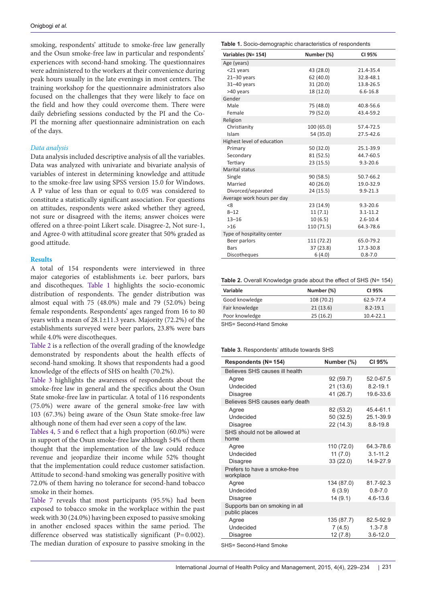smoking, respondents' attitude to smoke-free law generally and the Osun smoke-free law in particular and respondents' experiences with second-hand smoking. The questionnaires were administered to the workers at their convenience during peak hours usually in the late evenings in most centers. The training workshop for the questionnaire administrators also focused on the challenges that they were likely to face on the field and how they could overcome them. There were daily debriefing sessions conducted by the PI and the Co-PI the morning after questionnaire administration on each of the days.

#### *Data analysis*

Data analysis included descriptive analysis of all the variables. Data was analyzed with univariate and bivariate analysis of variables of interest in determining knowledge and attitude to the smoke-free law using SPSS version 15.0 for Windows. A P value of less than or equal to 0.05 was considered to constitute a statistically significant association. For questions on attitudes, respondents were asked whether they agreed, not sure or disagreed with the items; answer choices were offered on a three-point Likert scale. Disagree-2, Not sure-1, and Agree-0 with attitudinal score greater that 50% graded as good attitude.

#### **Results**

A total of 154 respondents were interviewed in three major categories of establishments i.e. beer parlors, bars and discotheques. [Table 1](#page-2-0) highlights the socio-economic distribution of respondents. The gender distribution was almost equal with 75 (48.0%) male and 79 (52.0%) being female respondents. Respondents' ages ranged from 16 to 80 years with a mean of 28.1±11.3 years. Majority (72.2%) of the establishments surveyed were beer parlors, 23.8% were bars while 4.0% were discotheques.

[Table 2](#page-2-1) is a reflection of the overall grading of the knowledge demonstrated by respondents about the health effects of second-hand smoking. It shows that respondents had a good knowledge of the effects of SHS on health (70.2%).

Table 3 highlights the awareness of respondents about the smoke-free law in general and the specifics about the Osun State smoke-free law in particular. A total of 116 respondents (75.0%) were aware of the general smoke-free law with 103 (67.3%) being aware of the Osun State smoke-free law although none of them had ever seen a copy of the law.

[Tables 4](#page-3-0), [5](#page-3-1) and [6](#page-3-2) reflect that a high proportion (60.0%) were in support of the Osun smoke-free law although 54% of them thought that the implementation of the law could reduce revenue and jeopardize their income while 52% thought that the implementation could reduce customer satisfaction. Attitude to second-hand smoking was generally positive with 72.0% of them having no tolerance for second-hand tobacco smoke in their homes.

[Table 7](#page-3-3) reveals that most participants (95.5%) had been exposed to tobacco smoke in the workplace within the past week with 30 (24.0%) having been exposed to passive smoking in another enclosed spaces within the same period. The difference observed was statistically significant (P=0.002). The median duration of exposure to passive smoking in the

#### <span id="page-2-0"></span>**Table 1.** Socio-demographic characteristics of respondents

| able in obbit domographic characteristics of respondents |            |              |  |  |  |
|----------------------------------------------------------|------------|--------------|--|--|--|
| Variables (N= 154)                                       | Number (%) | CI 95%       |  |  |  |
| Age (years)                                              |            |              |  |  |  |
| <21 years                                                | 43 (28.0)  | 21.4-35.4    |  |  |  |
| $21 - 30$ years                                          | 62(40.0)   | 32.8-48.1    |  |  |  |
| $31 - 40$ years                                          | 31 (20.0)  | 13.8-26.5    |  |  |  |
| >40 years                                                | 18 (12.0)  | $6.6 - 16.8$ |  |  |  |
| Gender                                                   |            |              |  |  |  |
| Male                                                     | 75 (48.0)  | 40.8-56.6    |  |  |  |
| Female                                                   | 79 (52.0)  | 43.4-59.2    |  |  |  |
| Religion                                                 |            |              |  |  |  |
| Christianity                                             | 100 (65.0) | 57.4-72.5    |  |  |  |
| Islam                                                    | 54 (35.0)  | 27.5-42.6    |  |  |  |
| Highest level of education                               |            |              |  |  |  |
| Primary                                                  | 50 (32.0)  | 25.1-39.9    |  |  |  |
| Secondary                                                | 81 (52.5)  | 44.7-60.5    |  |  |  |
| Tertiary                                                 | 23(15.5)   | $9.3 - 20.6$ |  |  |  |
| Marital status                                           |            |              |  |  |  |
| Single                                                   | 90 (58.5)  | 50.7-66.2    |  |  |  |
| Married                                                  | 40 (26.0)  | 19.0-32.9    |  |  |  |
| Divorced/separated                                       | 24 (15.5)  | $9.9 - 21.3$ |  |  |  |
| Average work hours per day                               |            |              |  |  |  |
| < 8                                                      | 23 (14.9)  | $9.3 - 20.6$ |  |  |  |
| $8 - 12$                                                 | 11(7.1)    | $3.1 - 11.2$ |  |  |  |
| $13 - 16$                                                | 10(6.5)    | $2.6 - 10.4$ |  |  |  |
| >16                                                      | 110 (71.5) | 64.3-78.6    |  |  |  |
| Type of hospitality center                               |            |              |  |  |  |
| Beer parlors                                             | 111 (72.2) | 65.0-79.2    |  |  |  |
| Bars                                                     | 37 (23.8)  | 17.3-30.8    |  |  |  |
| <b>Discotheques</b>                                      | 6(4.0)     | $0.8 - 7.0$  |  |  |  |

<span id="page-2-1"></span>

|  |  | Table 2. Overall Knowledge grade about the effect of SHS (N= 154) |  |  |  |  |  |  |  |
|--|--|-------------------------------------------------------------------|--|--|--|--|--|--|--|
|--|--|-------------------------------------------------------------------|--|--|--|--|--|--|--|

| <b>Variable</b> | Number (%) | CI 95%        |
|-----------------|------------|---------------|
| Good knowledge  | 108 (70.2) | 62.9-77.4     |
| Fair knowledge  | 21(13.6)   | $8.2 - 19.1$  |
| Poor knowledge  | 25(16.2)   | $10.4 - 22.1$ |

SHS= Second-Hand Smoke

#### **Table 3.** Respondents' attitude towards SHS

| Respondents (N= 154)                            | Number (%)                            | CI 95%                                 |
|-------------------------------------------------|---------------------------------------|----------------------------------------|
| Believes SHS causes ill health                  |                                       |                                        |
| Agree<br>Undecided                              | 92 (59.7)<br>21 (13.6)                | 52.0-67.5<br>$8.2 - 19.1$              |
| <b>Disagree</b>                                 | 41 (26.7)                             | 19.6-33.6                              |
| Believes SHS causes early death                 |                                       |                                        |
| Agree<br>Undecided<br><b>Disagree</b>           | 82 (53.2)<br>50 (32.5)<br>22 (14.3)   | 45.4-61.1<br>25.1-39.9<br>$8.8 - 19.8$ |
| SHS should not be allowed at<br>home            |                                       |                                        |
| Agree<br>Undecided<br><b>Disagree</b>           | 110 (72.0)<br>11 $(7.0)$<br>33 (22.0) | 64.3-78.6<br>$3.1 - 11.2$<br>14.9-27.9 |
| Prefers to have a smoke-free<br>workplace       |                                       |                                        |
| Agree<br>Undecided<br><b>Disagree</b>           | 134 (87.0)<br>6(3.9)<br>14 (9.1)      | 81.7-92.3<br>$0.8 - 7.0$<br>4.6-13.6   |
| Supports ban on smoking in all<br>public places |                                       |                                        |
| Agree                                           | 135 (87.7)                            | 82.5-92.9                              |
| Undecided                                       | 7(4.5)                                | $1.3 - 7.8$                            |
| <b>Disagree</b>                                 | 12(7.8)                               | $3.6 - 12.0$                           |

SHS= Second-Hand Smoke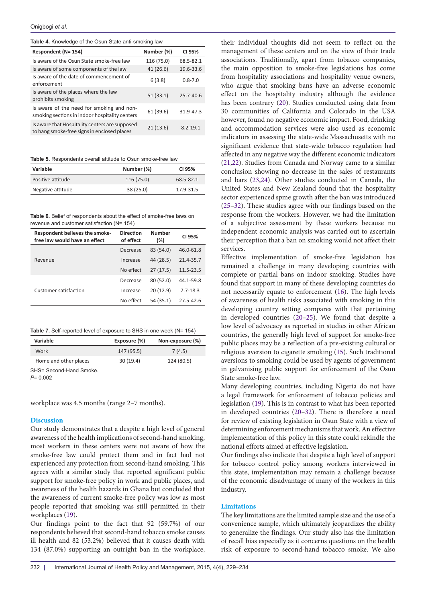<span id="page-3-0"></span>

| Table 4. Knowledge of the Osun State anti-smoking law |  |  |  |  |
|-------------------------------------------------------|--|--|--|--|
|-------------------------------------------------------|--|--|--|--|

| Respondent (N= 154)                                                                           | Number (%) | CI 95%        |
|-----------------------------------------------------------------------------------------------|------------|---------------|
| Is aware of the Osun State smoke-free law                                                     | 116 (75.0) | 68.5-82.1     |
| Is aware of some components of the law                                                        | 41(26.6)   | 19.6-33.6     |
| Is aware of the date of commencement of<br>enforcement                                        | 6(3.8)     | $0.8 - 7.0$   |
| Is aware of the places where the law<br>prohibits smoking                                     | 51(33.1)   | $25.7 - 40.6$ |
| Is aware of the need for smoking and non-<br>smoking sections in indoor hospitality centers   | 61(39.6)   | 31.9-47.3     |
| Is aware that Hospitality centers are supposed<br>to hang smoke-free signs in enclosed places | 21(13.6)   | $8.2 - 19.1$  |

<span id="page-3-1"></span>**Table 5.** Respondents overall attitude to Osun smoke-free law

| Variable          | Number (%) | CI 95%    |
|-------------------|------------|-----------|
| Positive attitude | 116 (75.0) | 68.5-82.1 |
| Negative attitude | 38(25.0)   | 17.9-31.5 |

<span id="page-3-2"></span>**Table 6.** Belief of respondents about the effect of smoke-free laws on revenue and customer satisfaction (N= 154)

| Respondent believes the smoke-<br>free law would have an effect | <b>Direction</b><br>of effect | Number<br>$(\%)$ | CI 95%       |
|-----------------------------------------------------------------|-------------------------------|------------------|--------------|
|                                                                 | Decrease                      | 83 (54.0)        | 46.0-61.8    |
| Revenue                                                         | Increase                      | 44 (28.5)        | 21.4-35.7    |
|                                                                 | No effect                     | 27(17.5)         | 11.5-23.5    |
|                                                                 | Decrease                      | 80 (52.0)        | 44.1-59.8    |
| Customer satisfaction                                           | Increase                      | 20(12.9)         | $7.7 - 18.3$ |
|                                                                 | No effect                     | 54 (35.1)        | 27.5-42.6    |
|                                                                 |                               |                  |              |

<span id="page-3-3"></span>

|  | Table 7. Self-reported level of exposure to SHS in one week (N= 154) |  |  |  |  |  |
|--|----------------------------------------------------------------------|--|--|--|--|--|
|--|----------------------------------------------------------------------|--|--|--|--|--|

| Variable                | Exposure (%) | Non-exposure (%) |
|-------------------------|--------------|------------------|
| Work                    | 147 (95.5)   | 7(4.5)           |
| Home and other places   | 30(19.4)     | 124 (80.5)       |
| SHS= Second-Hand Smoke. |              |                  |

*P*= 0.002

workplace was 4.5 months (range 2–7 months).

#### **Discussion**

Our study demonstrates that a despite a high level of general awareness of the health implications of second-hand smoking, most workers in these centers were not aware of how the smoke-free law could protect them and in fact had not experienced any protection from second-hand smoking. This agrees with a similar study that reported significant public support for smoke-free policy in work and public places, and awareness of the health hazards in Ghana but concluded that the awareness of current smoke-free policy was low as most people reported that smoking was still permitted in their workplaces ([19](#page-4-15)).

Our findings point to the fact that 92 (59.7%) of our respondents believed that second-hand tobacco smoke causes ill health and 82 (53.2%) believed that it causes death with 134 (87.0%) supporting an outright ban in the workplace,

their individual thoughts did not seem to reflect on the management of these centers and on the view of their trade associations. Traditionally, apart from tobacco companies, the main opposition to smoke-free legislations has come from hospitality associations and hospitality venue owners, who argue that smoking bans have an adverse economic effect on the hospitality industry although the evidence has been contrary [\(20\)](#page-4-16). Studies conducted using data from 30 communities of California and Colorado in the USA however, found no negative economic impact. Food, drinking and accommodation services were also used as economic indicators in assessing the state-wide Massachusetts with no significant evidence that state-wide tobacco regulation had affected in any negative way the different economic indicators [\(21](#page-4-17)[,22\)](#page-4-18). Studies from Canada and Norway came to a similar conclusion showing no decrease in the sales of restaurants and bars ([23](#page-4-19),[24](#page-4-20)). Other studies conducted in Canada, the United States and New Zealand found that the hospitality sector experienced spme growth after the ban was introduced [\(25](#page-4-21)[–32\)](#page-5-0). These studies agree with our findings based on the response from the workers. However, we had the limitation of a subjective assessment by these workers because no independent economic analysis was carried out to ascertain their perception that a ban on smoking would not affect their services.

Effective implementation of smoke-free legislation has remained a challenge in many developing countries with complete or partial bans on indoor smoking. Studies have found that support in many of these developing countries do not necessarily equate to enforcement [\(16\)](#page-4-22). The high levels of awareness of health risks associated with smoking in this developing country setting compares with that pertaining in developed countries [\(20–](#page-4-16)[25\)](#page-4-21). We found that despite a low level of advocacy as reported in studies in other African countries, the generally high level of support for smoke-free public places may be a reflection of a pre-existing cultural or religious aversion to cigarette smoking [\(15\)](#page-4-23). Such traditional aversions to smoking could be used by agents of government in galvanising public support for enforcement of the Osun State smoke-free law.

Many developing countries, including Nigeria do not have a legal framework for enforcement of tobacco policies and legislation ([19](#page-4-15)). This is in contrast to what has been reported in developed countries [\(20](#page-4-16)[–32\)](#page-5-0). There is therefore a need for review of existing legislation in Osun State with a view of determining enforcement mechanisms that work. An effective implementation of this policy in this state could rekindle the national efforts aimed at effective legislation.

Our findings also indicate that despite a high level of support for tobacco control policy among workers interviewed in this state, implementation may remain a challenge because of the economic disadvantage of many of the workers in this industry.

#### **Limitations**

The key limitations are the limited sample size and the use of a convenience sample, which ultimately jeopardizes the ability to generalize the findings. Our study also has the limitation of recall bias especially as it concerns questions on the health risk of exposure to second-hand tobacco smoke. We also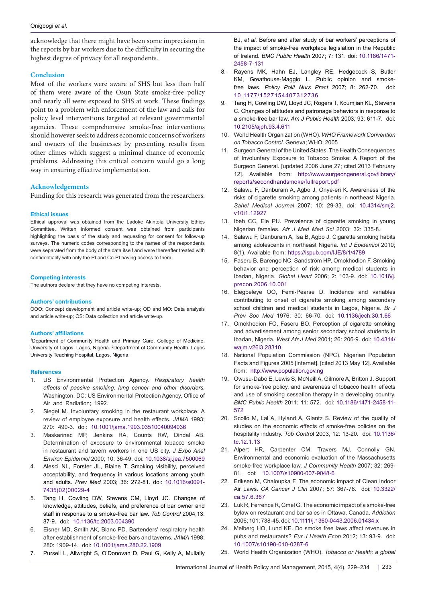acknowledge that there might have been some imprecision in the reports by bar workers due to the difficulty in securing the highest degree of privacy for all respondents.

## **Conclusion**

Most of the workers were aware of SHS but less than half of them were aware of the Osun State smoke-free policy and nearly all were exposed to SHS at work. These findings point to a problem with enforcement of the law and calls for policy level interventions targeted at relevant governmental agencies. These comprehensive smoke-free interventions should however seek to address economic concerns of workers and owners of the businesses by presenting results from other climes which suggest a minimal chance of economic problems. Addressing this critical concern would go a long way in ensuring effective implementation.

## **Acknowledgements**

Funding for this research was generated from the researchers.

#### **Ethical issues**

Ethical approval was obtained from the Ladoke Akintola University Ethics Committee. Written informed consent was obtained from participants highlighting the basis of the study and requesting for consent for follow-up surveys. The numeric codes corresponding to the names of the respondents were separated from the body of the data itself and were thereafter treated with confidentiality with only the PI and Co-PI having access to them.

#### **Competing interests**

The authors declare that they have no competing interests.

#### **Authors' contributions**

OOO: Concept development and article write-up; OD and MO: Data analysis and article write-up; OS: Data collection and article write-up.

#### **Authors' affiliations**

<span id="page-4-1"></span><span id="page-4-0"></span>1 Department of Community Health and Primary Care, College of Medicine, University of Lagos, Lagos, Nigeria. <sup>2</sup>Department of Community Health, Lagos University Teaching Hospital, Lagos, Nigeria.

#### **References**

- <span id="page-4-2"></span>1. US Environmental Protection Agency. *Respiratory health effects of passive smoking: lung cancer and other disorders.*  Washington, DC: US Environmental Protection Agency, Office of Air and Radiation; 1992.
- <span id="page-4-3"></span>2. Siegel M. Involuntary smoking in the restaurant workplace. A review of employee exposure and health effects. *JAMA* 1993; 270: 490-3. doi: [10.1001/jama.1993.03510040094036](http://dx.doi.org/10.1001/jama.1993.03510040094036 )
- <span id="page-4-4"></span>3. Maskarinec MP, Jenkins RA, Counts RW, Dindal AB. Determination of exposure to environmental tobacco smoke in restaurant and tavern workers in one US city. *J Expo Anal Environ Epidemiol* 2000; 10: 36-49. doi: [10.1038/sj.jea.7500069](http://dx.doi.org/10.1038/sj.jea.7500069 )
- <span id="page-4-5"></span>4. Alesci NL, Forster JL, Blaine T. Smoking visibility, perceived acceptability, and frequency in various locations among youth and adults. *Prev Med* 2003; 36: 272-81. doi: [10.1016/s0091-](http://dx.doi.org/10.1016/s0091-7435(02)00029-4 ) [7435\(02\)00029-4](http://dx.doi.org/10.1016/s0091-7435(02)00029-4 )
- <span id="page-4-6"></span>5. Tang H, Cowling DW, Stevens CM, Lloyd JC. Changes of knowledge, attitudes, beliefs, and preference of bar owner and staff in response to a smoke-free bar law. *Tob Control* 2004;13: 87-9. doi: [10.1136/tc.2003.004390](http://dx.doi.org/10.1136/tc.2003.004390 )
- <span id="page-4-7"></span>6. Eisner MD, Smith AK, Blanc PD. Bartenders' respiratory health after establishment of smoke-free bars and taverns. *JAMA* 1998; 280: 1909-14. doi: [10.1001/jama.280.22.1909](http://dx.doi.org/10.1001/jama.280.22.1909 )
- <span id="page-4-8"></span>7. Pursell L, Allwright S, O'Donovan D, Paul G, Kelly A, Mullally

BJ, *et al.* Before and after study of bar workers' perceptions of the impact of smoke-free workplace legislation in the Republic of Ireland*. BMC Public Health* 2007; 7*:* 131*.* doi: [10.1186/1471-](http://dx.doi.org/10.1186/1471-2458-7-131 ) [2458-7-131](http://dx.doi.org/10.1186/1471-2458-7-131 )

- 8. Rayens MK, Hahn EJ, Langley RE, Hedgecock S, Butler KM, Greathouse-Maggio L*.* Public opinion and smokefree laws*. Policy Polit Nurs Pract* 2007; 8: 262-70. doi: [10.1177/1527154407312736](http://dx.doi.org/10.1177/1527154407312736 )
- <span id="page-4-9"></span>9. Tang H, Cowling DW, Lloyd JC, Rogers T, Koumjian KL, Stevens C*.* Changes of attitudes and patronage behaviors in response to a smoke-free bar law*. Am J Public Health* 2003*;* 93*:* 611*-*7*.* doi: [10.2105/ajph.93.4.611](http://dx.doi.org/10.2105/ajph.93.4.611 )
- <span id="page-4-10"></span>10. World Health Organization (WHO). *WHO Framework Convention on Tobacco Control*. Geneva; WHO; 2005
- <span id="page-4-11"></span>11. Surgeon General of the United States. The Health Consequences of Involuntary Exposure to Tobacco Smoke: A Report of the Surgeon General. [updated 2006 June 27; cited 2013 February 12]. Available from: [http://www.surgeongeneral.gov/library/](http://www.surgeongeneral.gov/library/reports/secondhandsmoke/fullreport.pdf ) [reports/secondhandsmoke/fullreport.pdf](http://www.surgeongeneral.gov/library/reports/secondhandsmoke/fullreport.pdf )
- <span id="page-4-12"></span>12. Salawu F, Danburam A, Agbo J, Onye-eri K. Awareness of the risks of cigarette smoking among patients in northeast Nigeria. *Sahel Medical Journal* 2007; 10: 29-33. doi: [10.4314/smj2.](http://dx.doi.org/10.4314/smj2.v10i1.12927 ) [v10i1.12927](http://dx.doi.org/10.4314/smj2.v10i1.12927 )
- 13. Ibeh CC, Ele PU. Prevalence of cigarette smoking in young Nigerian females. *Afr J Med Med Sci* 2003; 32: 335-8.
- 14. Salawu F, Danburam A, Isa B, Agbo J. Cigarette smoking habits among adolescents in northeast Nigeria. *Int J Epidemiol* 2010; 8(1). Available from: [https://ispub.com/IJE/8/1/4789](https://ispub.com/IJE/8/1/4789 )
- <span id="page-4-23"></span>15. Faseru B, Barengo NC, Sandström HP, Omokhodion F. Smoking behavior and perception of risk among medical students in Ibadan, Nigeria. *Global Heart* 2006; 2: 103-9. doi: [10.1016/j.](http://dx.doi.org/10.1016/j.precon.2006.10.001 ) [precon.2006.10.001](http://dx.doi.org/10.1016/j.precon.2006.10.001 )
- <span id="page-4-22"></span>16. Elegbeleye OO, Femi-Pearse D. Incidence and variables contributing to onset of cigarette smoking among secondary school children and medical students in Lagos, Nigeria. *Br J Prev Soc Med* 1976; 30: 66-70. doi: [10.1136/jech.30.1.66](http://dx.doi.org/10.1136/jech.30.1.66 )
- <span id="page-4-13"></span>17. Omokhodion FO, Faseru BO. Perception of cigarette smoking and advertisement among senior secondary school students in Ibadan, Nigeria. *West Afr J Med* 2001; 26: 206-9. doi: [10.4314/](http://dx.doi.org/10.4314/wajm.v26i3.28310 ) [wajm.v26i3.28310](http://dx.doi.org/10.4314/wajm.v26i3.28310 )
- <span id="page-4-14"></span>18. National Population Commission (NPC). Nigerian Population Facts and Figures 2005 [internet]. [cited 2013 May 12]. Available from: [http://www.population.gov.ng](http://www.population.gov.ng )
- <span id="page-4-15"></span>19. Owusu-Dabo E, Lewis S, McNeill A, GilmoreA, Britton J. Support for smoke-free policy, and awareness of tobacco health effects and use of smoking cessation therapy in a developing country. *BMC Public Health* 2011; 11: 572. doi: [10.1186/1471-2458-11-](http://dx.doi.org/10.1186/1471-2458-11-572 ) [572](http://dx.doi.org/10.1186/1471-2458-11-572 )
- <span id="page-4-16"></span>20. Scollo M, Lal A, Hyland A, Glantz S. Review of the quality of studies on the economic effects of smoke-free policies on the hospitality industry. *Tob Contro*l 2003, 12: 13-20. doi: [10.1136/](http://dx.doi.org/10.1136/tc.12.1.13 ) [tc.12.1.13](http://dx.doi.org/10.1136/tc.12.1.13 )
- <span id="page-4-17"></span>21. Alpert HR, Carpenter CM, Travers MJ, Connolly GN. Environmental and economic evaluation of the Massachusetts smoke-free workplace law. *J Community Health* 2007; 32: 269- 81. doi: [10.1007/s10900-007-9048-6](http://dx.doi.org/10.1007/s10900-007-9048-6 )
- <span id="page-4-18"></span>22. Eriksen M, Chaloupka F. The economic impact of Clean Indoor Air Laws. *CA Cancer J Clin* 2007; 57: 367-78. doi: [10.3322/](http://dx.doi.org/10.3322/ca.57.6.367 ) [ca.57.6.367](http://dx.doi.org/10.3322/ca.57.6.367 )
- <span id="page-4-19"></span>23. Luk R, Ferrence R, Gmel G. The economic impact of a smoke-free bylaw on restaurant and bar sales in Ottawa, Canada. *Addiction* 2006; 101: 738-45. doi: [10.1111/j.1360-0443.2006.01434.x](http://dx.doi.org/10.1111/j.1360-0443.2006.01434.x )
- <span id="page-4-20"></span>24. Melberg HO, Lund KE. Do smoke free laws affect revenues in pubs and restaurants? *Eur J Health Econ* 2012; 13: 93-9. doi: [10.1007/s10198-010-0287-6](http://dx.doi.org/10.1007/s10198-010-0287-6 )
- <span id="page-4-21"></span>25. World Health Organization (WHO). *Tobacco or Health: a global*